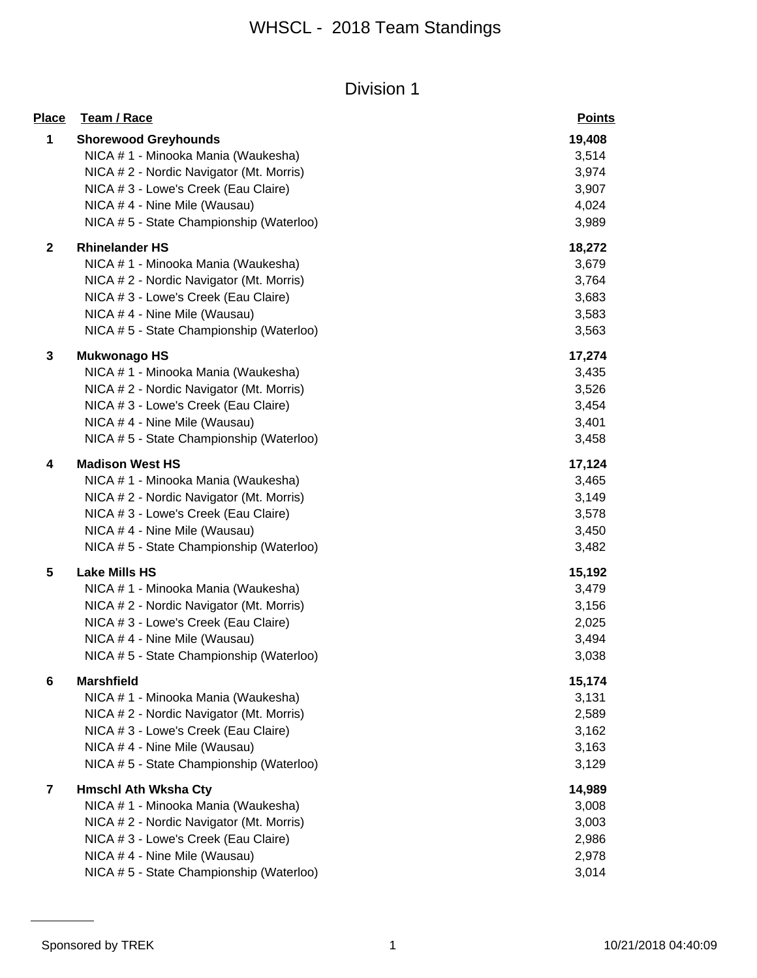| <b>Place</b>            | Team / Race                                                        | <b>Points</b>   |
|-------------------------|--------------------------------------------------------------------|-----------------|
| 1                       | <b>Shorewood Greyhounds</b><br>NICA # 1 - Minooka Mania (Waukesha) | 19,408<br>3,514 |
|                         | NICA # 2 - Nordic Navigator (Mt. Morris)                           | 3,974           |
|                         | NICA # 3 - Lowe's Creek (Eau Claire)                               | 3,907           |
|                         | NICA # 4 - Nine Mile (Wausau)                                      | 4,024           |
|                         | NICA # 5 - State Championship (Waterloo)                           | 3,989           |
| $\mathbf 2$             | <b>Rhinelander HS</b>                                              | 18,272          |
|                         | NICA # 1 - Minooka Mania (Waukesha)                                | 3,679           |
|                         | NICA # 2 - Nordic Navigator (Mt. Morris)                           | 3,764           |
|                         | NICA # 3 - Lowe's Creek (Eau Claire)                               | 3,683           |
|                         | NICA # 4 - Nine Mile (Wausau)                                      | 3,583           |
|                         | NICA # 5 - State Championship (Waterloo)                           | 3,563           |
| 3                       | <b>Mukwonago HS</b>                                                | 17,274          |
|                         | NICA # 1 - Minooka Mania (Waukesha)                                | 3,435           |
|                         | NICA # 2 - Nordic Navigator (Mt. Morris)                           | 3,526           |
|                         | NICA # 3 - Lowe's Creek (Eau Claire)                               | 3,454           |
|                         | NICA # 4 - Nine Mile (Wausau)                                      | 3,401           |
|                         | NICA # 5 - State Championship (Waterloo)                           | 3,458           |
| 4                       | <b>Madison West HS</b>                                             | 17,124          |
|                         | NICA # 1 - Minooka Mania (Waukesha)                                | 3,465           |
|                         | NICA # 2 - Nordic Navigator (Mt. Morris)                           | 3,149           |
|                         | NICA # 3 - Lowe's Creek (Eau Claire)                               | 3,578           |
|                         | NICA # 4 - Nine Mile (Wausau)                                      | 3,450           |
|                         | NICA # 5 - State Championship (Waterloo)                           | 3,482           |
| 5                       | <b>Lake Mills HS</b>                                               | 15,192          |
|                         | NICA # 1 - Minooka Mania (Waukesha)                                | 3,479           |
|                         | NICA # 2 - Nordic Navigator (Mt. Morris)                           | 3,156           |
|                         | NICA # 3 - Lowe's Creek (Eau Claire)                               | 2,025           |
|                         | NICA # 4 - Nine Mile (Wausau)                                      | 3,494           |
|                         | NICA # 5 - State Championship (Waterloo)                           | 3,038           |
| 6                       | <b>Marshfield</b>                                                  | 15,174          |
|                         | NICA # 1 - Minooka Mania (Waukesha)                                | 3,131           |
|                         | NICA # 2 - Nordic Navigator (Mt. Morris)                           | 2,589           |
|                         | NICA # 3 - Lowe's Creek (Eau Claire)                               | 3,162           |
|                         | NICA #4 - Nine Mile (Wausau)                                       | 3,163           |
|                         | NICA # 5 - State Championship (Waterloo)                           | 3,129           |
| $\overline{\mathbf{7}}$ | <b>Hmschl Ath Wksha Cty</b>                                        | 14,989          |
|                         | NICA # 1 - Minooka Mania (Waukesha)                                | 3,008           |
|                         | NICA # 2 - Nordic Navigator (Mt. Morris)                           | 3,003           |
|                         | NICA # 3 - Lowe's Creek (Eau Claire)                               | 2,986           |
|                         | NICA #4 - Nine Mile (Wausau)                                       | 2,978           |
|                         | NICA # 5 - State Championship (Waterloo)                           | 3,014           |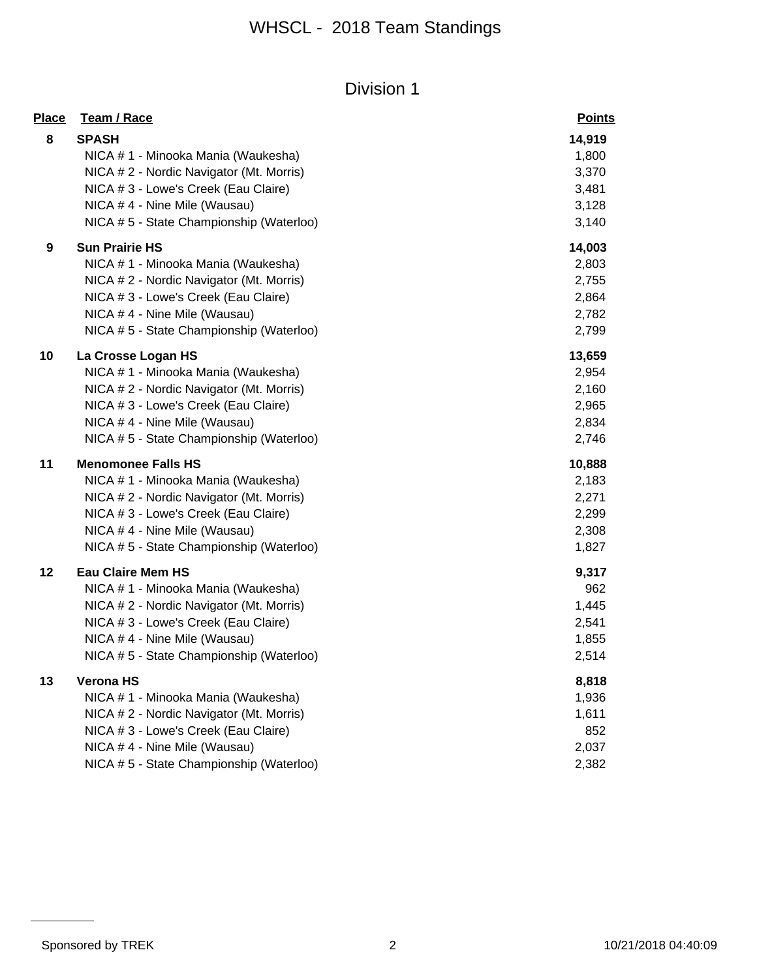| Place | Team / Race                              | <b>Points</b> |
|-------|------------------------------------------|---------------|
| 8     | <b>SPASH</b>                             | 14,919        |
|       | NICA # 1 - Minooka Mania (Waukesha)      | 1,800         |
|       | NICA #2 - Nordic Navigator (Mt. Morris)  | 3,370         |
|       | NICA # 3 - Lowe's Creek (Eau Claire)     | 3,481         |
|       | NICA #4 - Nine Mile (Wausau)             | 3,128         |
|       | NICA # 5 - State Championship (Waterloo) | 3,140         |
| 9     | <b>Sun Prairie HS</b>                    | 14,003        |
|       | NICA # 1 - Minooka Mania (Waukesha)      | 2,803         |
|       | NICA # 2 - Nordic Navigator (Mt. Morris) | 2,755         |
|       | NICA # 3 - Lowe's Creek (Eau Claire)     | 2,864         |
|       | NICA #4 - Nine Mile (Wausau)             | 2,782         |
|       | NICA #5 - State Championship (Waterloo)  | 2,799         |
| 10    | La Crosse Logan HS                       | 13,659        |
|       | NICA # 1 - Minooka Mania (Waukesha)      | 2,954         |
|       | NICA # 2 - Nordic Navigator (Mt. Morris) | 2,160         |
|       | NICA # 3 - Lowe's Creek (Eau Claire)     | 2,965         |
|       | NICA #4 - Nine Mile (Wausau)             | 2,834         |
|       | NICA #5 - State Championship (Waterloo)  | 2,746         |
| 11    | <b>Menomonee Falls HS</b>                | 10,888        |
|       | NICA # 1 - Minooka Mania (Waukesha)      | 2,183         |
|       | NICA # 2 - Nordic Navigator (Mt. Morris) | 2,271         |
|       | NICA # 3 - Lowe's Creek (Eau Claire)     | 2,299         |
|       | NICA #4 - Nine Mile (Wausau)             | 2,308         |
|       | NICA # 5 - State Championship (Waterloo) | 1,827         |
| 12    | <b>Eau Claire Mem HS</b>                 | 9,317         |
|       | NICA # 1 - Minooka Mania (Waukesha)      | 962           |
|       | NICA # 2 - Nordic Navigator (Mt. Morris) | 1,445         |
|       | NICA # 3 - Lowe's Creek (Eau Claire)     | 2,541         |
|       | NICA # 4 - Nine Mile (Wausau)            | 1,855         |
|       | NICA #5 - State Championship (Waterloo)  | 2,514         |
| 13    | <b>Verona HS</b>                         | 8,818         |
|       | NICA # 1 - Minooka Mania (Waukesha)      | 1,936         |
|       | NICA # 2 - Nordic Navigator (Mt. Morris) | 1,611         |
|       | NICA # 3 - Lowe's Creek (Eau Claire)     | 852           |
|       | NICA # 4 - Nine Mile (Wausau)            | 2,037         |
|       | NICA # 5 - State Championship (Waterloo) | 2,382         |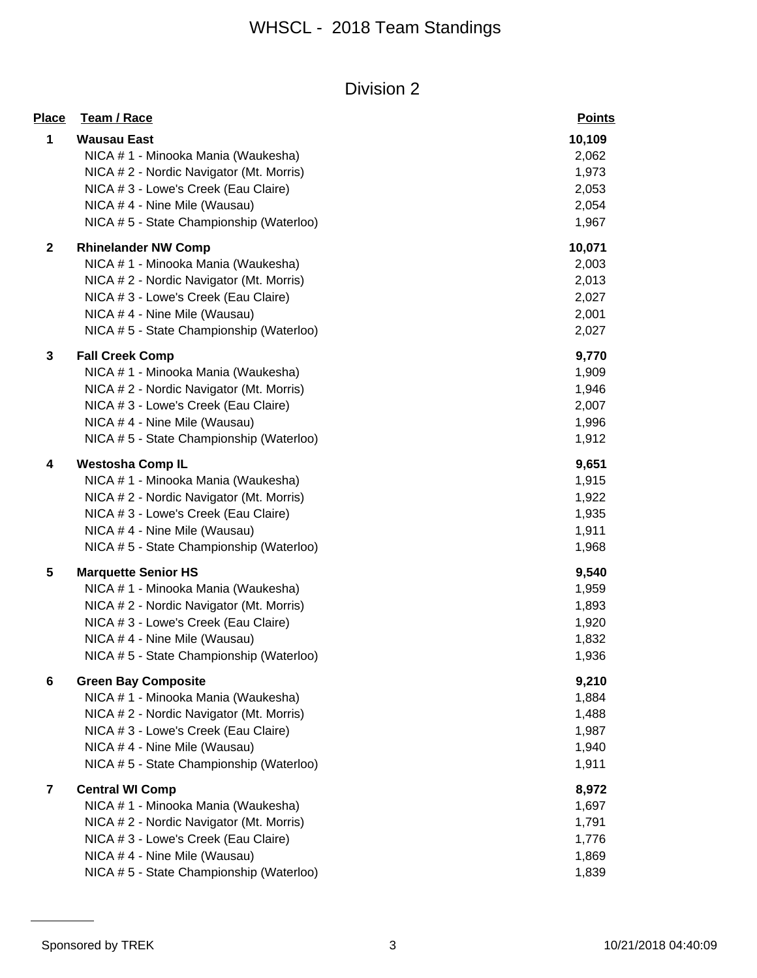| Place        | Team / Race                              | <b>Points</b> |
|--------------|------------------------------------------|---------------|
| 1            | <b>Wausau East</b>                       | 10,109        |
|              | NICA # 1 - Minooka Mania (Waukesha)      | 2,062         |
|              | NICA # 2 - Nordic Navigator (Mt. Morris) | 1,973         |
|              | NICA # 3 - Lowe's Creek (Eau Claire)     | 2,053         |
|              | NICA # 4 - Nine Mile (Wausau)            | 2,054         |
|              | NICA # 5 - State Championship (Waterloo) | 1,967         |
| $\mathbf{2}$ | <b>Rhinelander NW Comp</b>               | 10,071        |
|              | NICA # 1 - Minooka Mania (Waukesha)      | 2,003         |
|              | NICA # 2 - Nordic Navigator (Mt. Morris) | 2,013         |
|              | NICA # 3 - Lowe's Creek (Eau Claire)     | 2,027         |
|              | NICA #4 - Nine Mile (Wausau)             | 2,001         |
|              | NICA # 5 - State Championship (Waterloo) | 2,027         |
| 3            | <b>Fall Creek Comp</b>                   | 9,770         |
|              | NICA # 1 - Minooka Mania (Waukesha)      | 1,909         |
|              | NICA # 2 - Nordic Navigator (Mt. Morris) | 1,946         |
|              | NICA # 3 - Lowe's Creek (Eau Claire)     | 2,007         |
|              | NICA #4 - Nine Mile (Wausau)             | 1,996         |
|              | NICA # 5 - State Championship (Waterloo) | 1,912         |
| 4            | <b>Westosha Comp IL</b>                  | 9,651         |
|              | NICA # 1 - Minooka Mania (Waukesha)      | 1,915         |
|              | NICA # 2 - Nordic Navigator (Mt. Morris) | 1,922         |
|              | NICA # 3 - Lowe's Creek (Eau Claire)     | 1,935         |
|              | NICA # 4 - Nine Mile (Wausau)            | 1,911         |
|              | NICA # 5 - State Championship (Waterloo) | 1,968         |
| 5            | <b>Marquette Senior HS</b>               | 9,540         |
|              | NICA # 1 - Minooka Mania (Waukesha)      | 1,959         |
|              | NICA # 2 - Nordic Navigator (Mt. Morris) | 1,893         |
|              | NICA # 3 - Lowe's Creek (Eau Claire)     | 1,920         |
|              | NICA #4 - Nine Mile (Wausau)             | 1,832         |
|              | NICA # 5 - State Championship (Waterloo) | 1,936         |
| 6            | <b>Green Bay Composite</b>               | 9,210         |
|              | NICA #1 - Minooka Mania (Waukesha)       | 1,884         |
|              | NICA # 2 - Nordic Navigator (Mt. Morris) | 1,488         |
|              | NICA # 3 - Lowe's Creek (Eau Claire)     | 1,987         |
|              | NICA # 4 - Nine Mile (Wausau)            | 1,940         |
|              | NICA #5 - State Championship (Waterloo)  | 1,911         |
| 7            | <b>Central WI Comp</b>                   | 8,972         |
|              | NICA # 1 - Minooka Mania (Waukesha)      | 1,697         |
|              | NICA # 2 - Nordic Navigator (Mt. Morris) | 1,791         |
|              | NICA # 3 - Lowe's Creek (Eau Claire)     | 1,776         |
|              | NICA # 4 - Nine Mile (Wausau)            | 1,869         |
|              | NICA #5 - State Championship (Waterloo)  | 1,839         |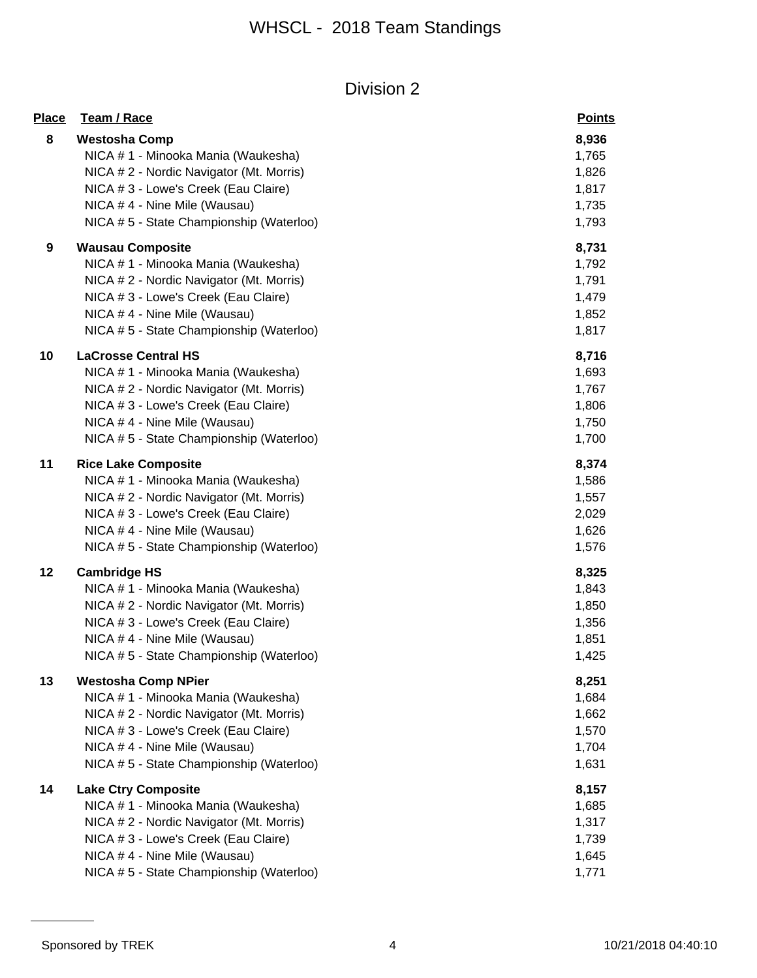| <b>Place</b> | Team / Race                              | <b>Points</b> |
|--------------|------------------------------------------|---------------|
| 8            | <b>Westosha Comp</b>                     | 8,936         |
|              | NICA # 1 - Minooka Mania (Waukesha)      | 1,765         |
|              | NICA #2 - Nordic Navigator (Mt. Morris)  | 1,826         |
|              | NICA # 3 - Lowe's Creek (Eau Claire)     | 1,817         |
|              | NICA # 4 - Nine Mile (Wausau)            | 1,735         |
|              | NICA # 5 - State Championship (Waterloo) | 1,793         |
| 9            | <b>Wausau Composite</b>                  | 8,731         |
|              | NICA # 1 - Minooka Mania (Waukesha)      | 1,792         |
|              | NICA # 2 - Nordic Navigator (Mt. Morris) | 1,791         |
|              | NICA # 3 - Lowe's Creek (Eau Claire)     | 1,479         |
|              | NICA #4 - Nine Mile (Wausau)             | 1,852         |
|              | NICA # 5 - State Championship (Waterloo) | 1,817         |
| 10           | <b>LaCrosse Central HS</b>               | 8,716         |
|              | NICA # 1 - Minooka Mania (Waukesha)      | 1,693         |
|              | NICA # 2 - Nordic Navigator (Mt. Morris) | 1,767         |
|              | NICA # 3 - Lowe's Creek (Eau Claire)     | 1,806         |
|              | NICA # 4 - Nine Mile (Wausau)            | 1,750         |
|              | NICA # 5 - State Championship (Waterloo) | 1,700         |
| 11           | <b>Rice Lake Composite</b>               | 8,374         |
|              | NICA # 1 - Minooka Mania (Waukesha)      | 1,586         |
|              | NICA # 2 - Nordic Navigator (Mt. Morris) | 1,557         |
|              | NICA # 3 - Lowe's Creek (Eau Claire)     | 2,029         |
|              | NICA # 4 - Nine Mile (Wausau)            | 1,626         |
|              | NICA # 5 - State Championship (Waterloo) | 1,576         |
| 12           | <b>Cambridge HS</b>                      | 8,325         |
|              | NICA # 1 - Minooka Mania (Waukesha)      | 1,843         |
|              | NICA # 2 - Nordic Navigator (Mt. Morris) | 1,850         |
|              | NICA # 3 - Lowe's Creek (Eau Claire)     | 1,356         |
|              | NICA # 4 - Nine Mile (Wausau)            | 1,851         |
|              | NICA # 5 - State Championship (Waterloo) | 1,425         |
| 13           | <b>Westosha Comp NPier</b>               | 8,251         |
|              | NICA # 1 - Minooka Mania (Waukesha)      | 1,684         |
|              | NICA # 2 - Nordic Navigator (Mt. Morris) | 1,662         |
|              | NICA # 3 - Lowe's Creek (Eau Claire)     | 1,570         |
|              | NICA # 4 - Nine Mile (Wausau)            | 1,704         |
|              | NICA # 5 - State Championship (Waterloo) | 1,631         |
| 14           | <b>Lake Ctry Composite</b>               | 8,157         |
|              | NICA # 1 - Minooka Mania (Waukesha)      | 1,685         |
|              | NICA # 2 - Nordic Navigator (Mt. Morris) | 1,317         |
|              | NICA # 3 - Lowe's Creek (Eau Claire)     | 1,739         |
|              | NICA #4 - Nine Mile (Wausau)             | 1,645         |
|              | NICA # 5 - State Championship (Waterloo) | 1,771         |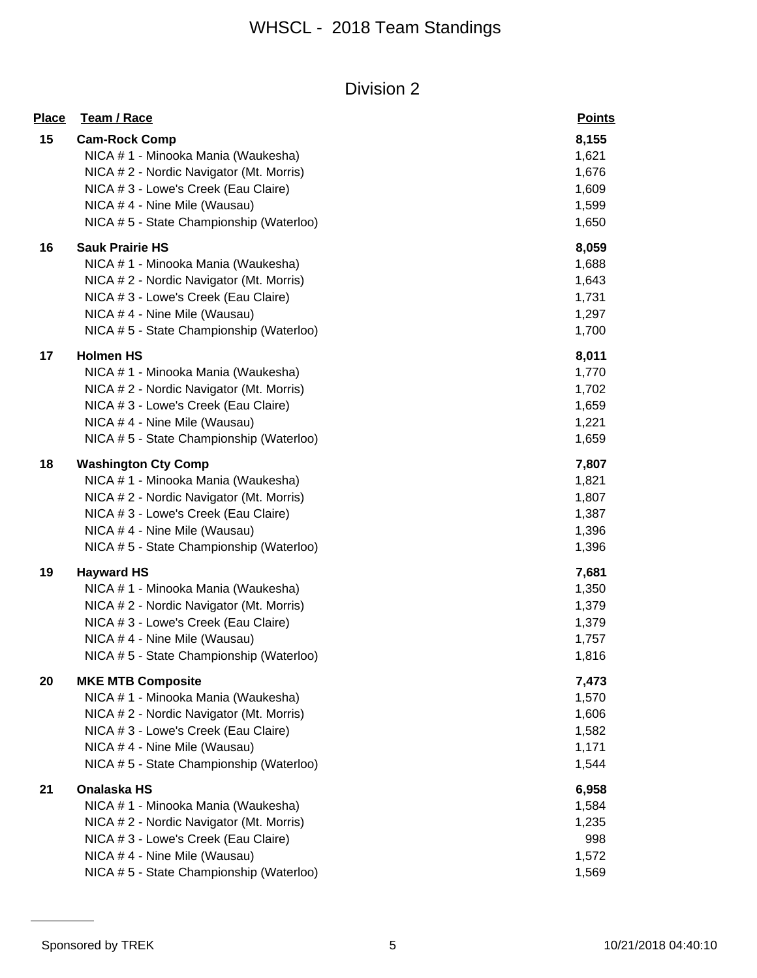| <b>Place</b> | Team / Race                              | <b>Points</b> |
|--------------|------------------------------------------|---------------|
| 15           | <b>Cam-Rock Comp</b>                     | 8,155         |
|              | NICA # 1 - Minooka Mania (Waukesha)      | 1,621         |
|              | NICA # 2 - Nordic Navigator (Mt. Morris) | 1,676         |
|              | NICA # 3 - Lowe's Creek (Eau Claire)     | 1,609         |
|              | NICA # 4 - Nine Mile (Wausau)            | 1,599         |
|              | NICA # 5 - State Championship (Waterloo) | 1,650         |
| 16           | <b>Sauk Prairie HS</b>                   | 8,059         |
|              | NICA # 1 - Minooka Mania (Waukesha)      | 1,688         |
|              | NICA # 2 - Nordic Navigator (Mt. Morris) | 1,643         |
|              | NICA # 3 - Lowe's Creek (Eau Claire)     | 1,731         |
|              | NICA # 4 - Nine Mile (Wausau)            | 1,297         |
|              | NICA # 5 - State Championship (Waterloo) | 1,700         |
| 17           | <b>Holmen HS</b>                         | 8,011         |
|              | NICA # 1 - Minooka Mania (Waukesha)      | 1,770         |
|              | NICA # 2 - Nordic Navigator (Mt. Morris) | 1,702         |
|              | NICA # 3 - Lowe's Creek (Eau Claire)     | 1,659         |
|              | NICA # 4 - Nine Mile (Wausau)            | 1,221         |
|              | NICA # 5 - State Championship (Waterloo) | 1,659         |
| 18           | <b>Washington Cty Comp</b>               | 7,807         |
|              | NICA # 1 - Minooka Mania (Waukesha)      | 1,821         |
|              | NICA # 2 - Nordic Navigator (Mt. Morris) | 1,807         |
|              | NICA # 3 - Lowe's Creek (Eau Claire)     | 1,387         |
|              | NICA # 4 - Nine Mile (Wausau)            | 1,396         |
|              | NICA # 5 - State Championship (Waterloo) | 1,396         |
| 19           | <b>Hayward HS</b>                        | 7,681         |
|              | NICA # 1 - Minooka Mania (Waukesha)      | 1,350         |
|              | NICA # 2 - Nordic Navigator (Mt. Morris) | 1,379         |
|              | NICA # 3 - Lowe's Creek (Eau Claire)     | 1,379         |
|              | NICA #4 - Nine Mile (Wausau)             | 1,757         |
|              | NICA # 5 - State Championship (Waterloo) | 1,816         |
| 20           | <b>MKE MTB Composite</b>                 | 7,473         |
|              | NICA # 1 - Minooka Mania (Waukesha)      | 1,570         |
|              | NICA # 2 - Nordic Navigator (Mt. Morris) | 1,606         |
|              | NICA # 3 - Lowe's Creek (Eau Claire)     | 1,582         |
|              | NICA #4 - Nine Mile (Wausau)             | 1,171         |
|              | NICA #5 - State Championship (Waterloo)  | 1,544         |
| 21           | Onalaska HS                              | 6,958         |
|              | NICA # 1 - Minooka Mania (Waukesha)      | 1,584         |
|              | NICA # 2 - Nordic Navigator (Mt. Morris) | 1,235         |
|              | NICA # 3 - Lowe's Creek (Eau Claire)     | 998           |
|              | NICA # 4 - Nine Mile (Wausau)            | 1,572         |
|              | NICA # 5 - State Championship (Waterloo) | 1,569         |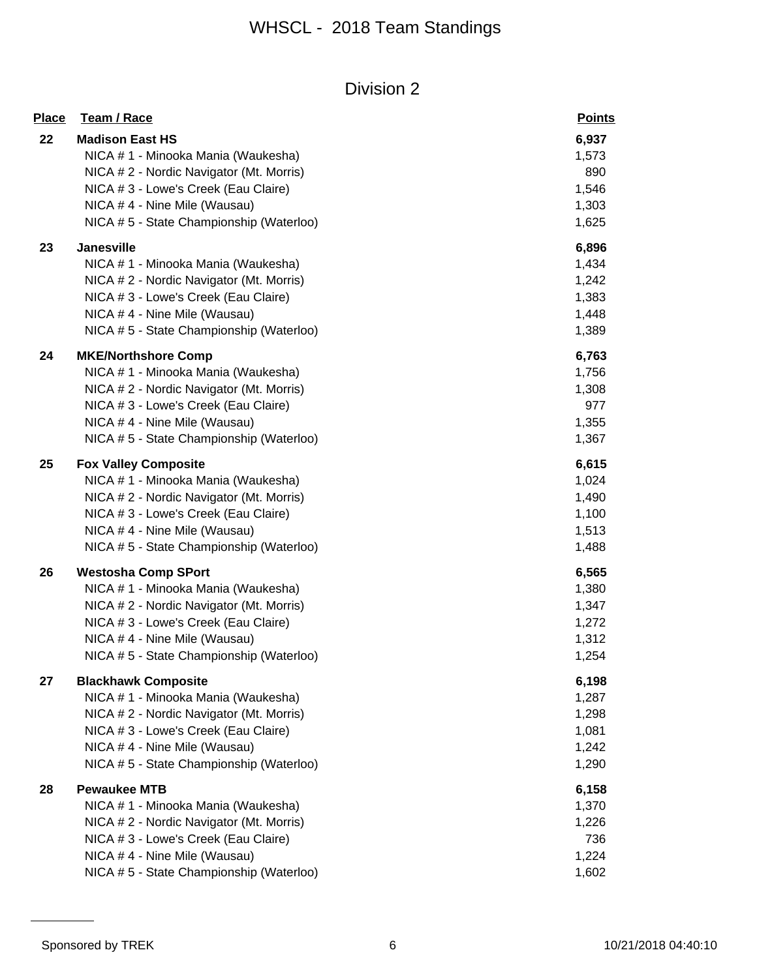| <b>Place</b> | Team / Race                              | <b>Points</b> |
|--------------|------------------------------------------|---------------|
| 22           | <b>Madison East HS</b>                   | 6,937         |
|              | NICA # 1 - Minooka Mania (Waukesha)      | 1,573         |
|              | NICA # 2 - Nordic Navigator (Mt. Morris) | 890           |
|              | NICA # 3 - Lowe's Creek (Eau Claire)     | 1,546         |
|              | NICA # 4 - Nine Mile (Wausau)            | 1,303         |
|              | NICA #5 - State Championship (Waterloo)  | 1,625         |
| 23           | <b>Janesville</b>                        | 6,896         |
|              | NICA # 1 - Minooka Mania (Waukesha)      | 1,434         |
|              | NICA # 2 - Nordic Navigator (Mt. Morris) | 1,242         |
|              | NICA # 3 - Lowe's Creek (Eau Claire)     | 1,383         |
|              | NICA # 4 - Nine Mile (Wausau)            | 1,448         |
|              | NICA # 5 - State Championship (Waterloo) | 1,389         |
| 24           | <b>MKE/Northshore Comp</b>               | 6,763         |
|              | NICA # 1 - Minooka Mania (Waukesha)      | 1,756         |
|              | NICA # 2 - Nordic Navigator (Mt. Morris) | 1,308         |
|              | NICA # 3 - Lowe's Creek (Eau Claire)     | 977           |
|              | NICA # 4 - Nine Mile (Wausau)            | 1,355         |
|              | NICA #5 - State Championship (Waterloo)  | 1,367         |
| 25           | <b>Fox Valley Composite</b>              | 6,615         |
|              | NICA # 1 - Minooka Mania (Waukesha)      | 1,024         |
|              | NICA # 2 - Nordic Navigator (Mt. Morris) | 1,490         |
|              | NICA # 3 - Lowe's Creek (Eau Claire)     | 1,100         |
|              | NICA # 4 - Nine Mile (Wausau)            | 1,513         |
|              | NICA #5 - State Championship (Waterloo)  | 1,488         |
| 26           | <b>Westosha Comp SPort</b>               | 6,565         |
|              | NICA # 1 - Minooka Mania (Waukesha)      | 1,380         |
|              | NICA # 2 - Nordic Navigator (Mt. Morris) | 1,347         |
|              | NICA # 3 - Lowe's Creek (Eau Claire)     | 1,272         |
|              | NICA # 4 - Nine Mile (Wausau)            | 1,312         |
|              | NICA #5 - State Championship (Waterloo)  | 1,254         |
| 27           | <b>Blackhawk Composite</b>               | 6,198         |
|              | NICA # 1 - Minooka Mania (Waukesha)      | 1,287         |
|              | NICA # 2 - Nordic Navigator (Mt. Morris) | 1,298         |
|              | NICA # 3 - Lowe's Creek (Eau Claire)     | 1,081         |
|              | NICA #4 - Nine Mile (Wausau)             | 1,242         |
|              | NICA # 5 - State Championship (Waterloo) | 1,290         |
| 28           | <b>Pewaukee MTB</b>                      | 6,158         |
|              | NICA # 1 - Minooka Mania (Waukesha)      | 1,370         |
|              | NICA # 2 - Nordic Navigator (Mt. Morris) | 1,226         |
|              | NICA # 3 - Lowe's Creek (Eau Claire)     | 736           |
|              | NICA # 4 - Nine Mile (Wausau)            | 1,224         |
|              | NICA # 5 - State Championship (Waterloo) | 1,602         |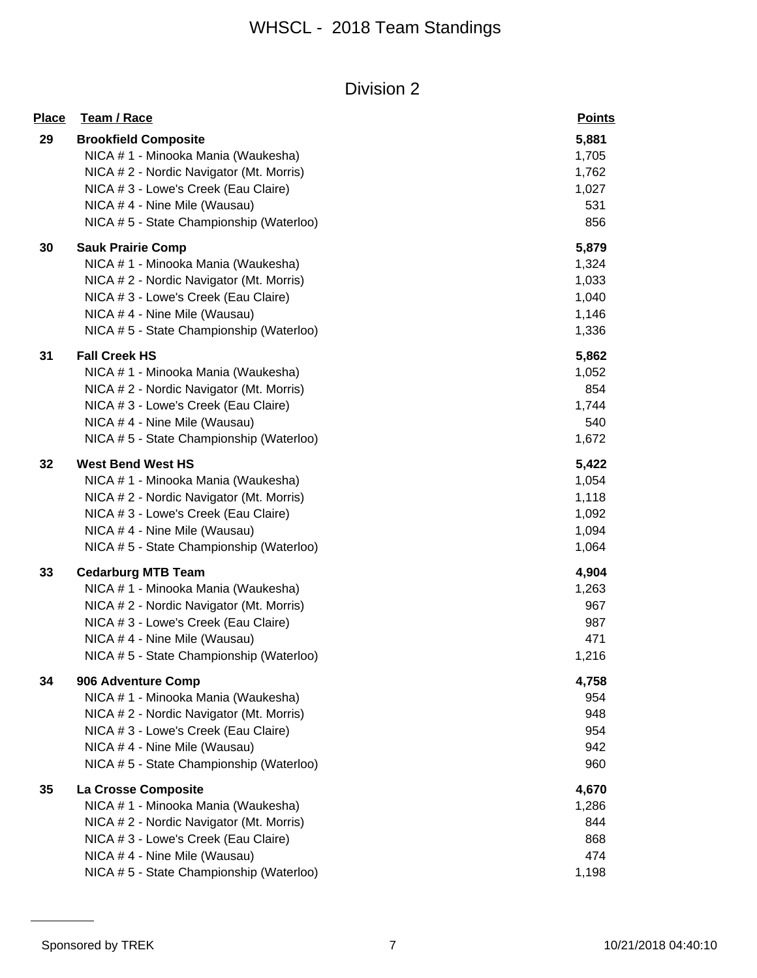| <b>Place</b> | Team / Race                                                                                                                                                                                                                         | <b>Points</b>                                      |
|--------------|-------------------------------------------------------------------------------------------------------------------------------------------------------------------------------------------------------------------------------------|----------------------------------------------------|
| 29           | <b>Brookfield Composite</b><br>NICA # 1 - Minooka Mania (Waukesha)<br>NICA # 2 - Nordic Navigator (Mt. Morris)<br>NICA # 3 - Lowe's Creek (Eau Claire)<br>NICA # 4 - Nine Mile (Wausau)<br>NICA # 5 - State Championship (Waterloo) | 5,881<br>1,705<br>1,762<br>1,027<br>531<br>856     |
| 30           | <b>Sauk Prairie Comp</b><br>NICA # 1 - Minooka Mania (Waukesha)<br>NICA # 2 - Nordic Navigator (Mt. Morris)<br>NICA # 3 - Lowe's Creek (Eau Claire)<br>NICA # 4 - Nine Mile (Wausau)<br>NICA # 5 - State Championship (Waterloo)    | 5,879<br>1,324<br>1,033<br>1,040<br>1,146<br>1,336 |
| 31           | <b>Fall Creek HS</b><br>NICA # 1 - Minooka Mania (Waukesha)<br>NICA # 2 - Nordic Navigator (Mt. Morris)<br>NICA # 3 - Lowe's Creek (Eau Claire)<br>NICA # 4 - Nine Mile (Wausau)<br>NICA # 5 - State Championship (Waterloo)        | 5,862<br>1,052<br>854<br>1,744<br>540<br>1,672     |
| 32           | <b>West Bend West HS</b><br>NICA # 1 - Minooka Mania (Waukesha)<br>NICA # 2 - Nordic Navigator (Mt. Morris)<br>NICA # 3 - Lowe's Creek (Eau Claire)<br>NICA # 4 - Nine Mile (Wausau)<br>NICA # 5 - State Championship (Waterloo)    | 5,422<br>1,054<br>1,118<br>1,092<br>1,094<br>1,064 |
| 33           | <b>Cedarburg MTB Team</b><br>NICA # 1 - Minooka Mania (Waukesha)<br>NICA # 2 - Nordic Navigator (Mt. Morris)<br>NICA # 3 - Lowe's Creek (Eau Claire)<br>NICA #4 - Nine Mile (Wausau)<br>NICA # 5 - State Championship (Waterloo)    | 4,904<br>1,263<br>967<br>987<br>471<br>1,216       |
| 34           | 906 Adventure Comp<br>NICA # 1 - Minooka Mania (Waukesha)<br>NICA # 2 - Nordic Navigator (Mt. Morris)<br>NICA # 3 - Lowe's Creek (Eau Claire)<br>NICA # 4 - Nine Mile (Wausau)<br>NICA #5 - State Championship (Waterloo)           | 4,758<br>954<br>948<br>954<br>942<br>960           |
| 35           | La Crosse Composite<br>NICA # 1 - Minooka Mania (Waukesha)<br>NICA # 2 - Nordic Navigator (Mt. Morris)<br>NICA # 3 - Lowe's Creek (Eau Claire)<br>NICA #4 - Nine Mile (Wausau)<br>NICA # 5 - State Championship (Waterloo)          | 4,670<br>1,286<br>844<br>868<br>474<br>1,198       |